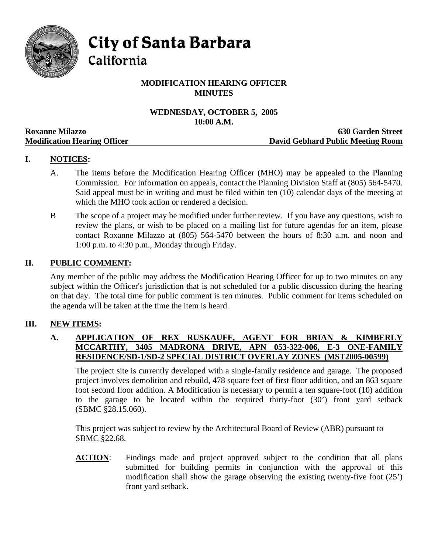

**City of Santa Barbara** 

California

# **MODIFICATION HEARING OFFICER MINUTES**

## **WEDNESDAY, OCTOBER 5, 2005 10:00 A.M.**

|                                     | TAMA TIMA                         |
|-------------------------------------|-----------------------------------|
| <b>Roxanne Milazzo</b>              | <b>630 Garden Street</b>          |
| <b>Modification Hearing Officer</b> | David Gebhard Public Meeting Room |

# **I. NOTICES:**

- A. The items before the Modification Hearing Officer (MHO) may be appealed to the Planning Commission. For information on appeals, contact the Planning Division Staff at (805) 564-5470. Said appeal must be in writing and must be filed within ten (10) calendar days of the meeting at which the MHO took action or rendered a decision.
- B The scope of a project may be modified under further review. If you have any questions, wish to review the plans, or wish to be placed on a mailing list for future agendas for an item, please contact Roxanne Milazzo at (805) 564-5470 between the hours of 8:30 a.m. and noon and 1:00 p.m. to 4:30 p.m., Monday through Friday.

#### **II. PUBLIC COMMENT:**

Any member of the public may address the Modification Hearing Officer for up to two minutes on any subject within the Officer's jurisdiction that is not scheduled for a public discussion during the hearing on that day. The total time for public comment is ten minutes. Public comment for items scheduled on the agenda will be taken at the time the item is heard.

#### **III. NEW ITEMS:**

#### **A. APPLICATION OF REX RUSKAUFF, AGENT FOR BRIAN & KIMBERLY MCCARTHY, 3405 MADRONA DRIVE, APN 053-322-006, E-3 ONE-FAMILY RESIDENCE/SD-1/SD-2 SPECIAL DISTRICT OVERLAY ZONES (MST2005-00599)**

The project site is currently developed with a single-family residence and garage. The proposed project involves demolition and rebuild, 478 square feet of first floor addition, and an 863 square foot second floor addition. A Modification is necessary to permit a ten square-foot (10) addition to the garage to be located within the required thirty-foot (30') front yard setback (SBMC §28.15.060).

This project was subject to review by the Architectural Board of Review (ABR) pursuant to SBMC §22.68.

**ACTION**: Findings made and project approved subject to the condition that all plans submitted for building permits in conjunction with the approval of this modification shall show the garage observing the existing twenty-five foot (25') front yard setback.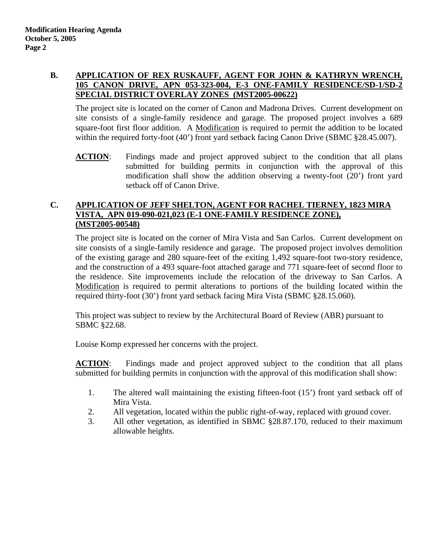# **B. APPLICATION OF REX RUSKAUFF, AGENT FOR JOHN & KATHRYN WRENCH, 105 CANON DRIVE, APN 053-323-004, E-3 ONE-FAMILY RESIDENCE/SD-1/SD-2 SPECIAL DISTRICT OVERLAY ZONES (MST2005-00622)**

The project site is located on the corner of Canon and Madrona Drives. Current development on site consists of a single-family residence and garage. The proposed project involves a 689 square-foot first floor addition. A Modification is required to permit the addition to be located within the required forty-foot (40') front yard setback facing Canon Drive (SBMC §28.45.007).

**ACTION:** Findings made and project approved subject to the condition that all plans submitted for building permits in conjunction with the approval of this modification shall show the addition observing a twenty-foot (20') front yard setback off of Canon Drive.

# **C. APPLICATION OF JEFF SHELTON, AGENT FOR RACHEL TIERNEY, 1823 MIRA VISTA, APN 019-090-021,023 (E-1 ONE-FAMILY RESIDENCE ZONE), (MST2005-00548)**

The project site is located on the corner of Mira Vista and San Carlos. Current development on site consists of a single-family residence and garage. The proposed project involves demolition of the existing garage and 280 square-feet of the exiting 1,492 square-foot two-story residence, and the construction of a 493 square-foot attached garage and 771 square-feet of second floor to the residence. Site improvements include the relocation of the driveway to San Carlos. A Modification is required to permit alterations to portions of the building located within the required thirty-foot (30') front yard setback facing Mira Vista (SBMC §28.15.060).

This project was subject to review by the Architectural Board of Review (ABR) pursuant to SBMC §22.68.

Louise Komp expressed her concerns with the project.

**ACTION**: Findings made and project approved subject to the condition that all plans submitted for building permits in conjunction with the approval of this modification shall show:

- 1. The altered wall maintaining the existing fifteen-foot (15') front yard setback off of Mira Vista.
- 2. All vegetation, located within the public right-of-way, replaced with ground cover.
- 3. All other vegetation, as identified in SBMC §28.87.170, reduced to their maximum allowable heights.